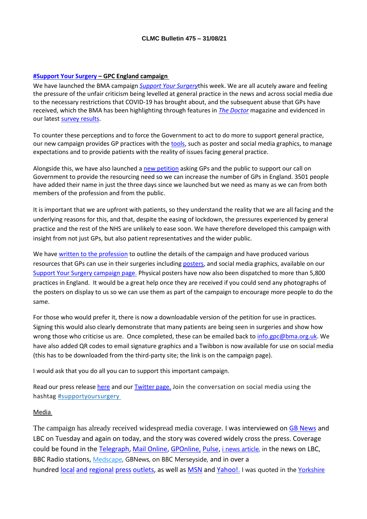#### **[#Support Your Surgery](https://e-activist.com/page/88027/petition/1?ea.tracking.id=website) – GPC England campaign**

We have launched the BMA campaign *[Support Your Surgery](https://www.bma.org.uk/supportyoursurgery)*this week. We are all acutely aware and feeling the pressure of the unfair criticism being levelled at general practice in the news and across social media due to the necessary restrictions that COVID-19 has brought about, and the subsequent abuse that GPs have received, which the BMA has been highlighting through features in *[The Doctor](https://www.bma.org.uk/news-and-opinion/on-the-receiving-end-violence-aimed-at-doctors)* magazine and evidenced in our latest [survey results.](https://www.bma.org.uk/bma-media-centre/bma-urges-public-to-be-kind-as-survey-reveals-worrying-levels-of-abuse-against-doctors-and-colleagues)

To counter these perceptions and to force the Government to act to do more to support general practice, our new campaign provides GP practices with th[e tools,](https://www.bma.org.uk/supportyoursurgery) such as poster and social media graphics, to manage expectations and to provide patients with the reality of issues facing general practice.

Alongside this, we have also launched a [new petition](https://e-activist.com/page/88027/petition/1?ea.tracking.id=website) asking GPs and the public to support our call on Government to provide the resourcing need so we can increase the number of GPs in England. 3501 people have added their name in just the three days since we launched but we need as many as we can from both members of the profession and from the public.

It is important that we are upfront with patients, so they understand the reality that we are all facing and the underlying reasons for this, and that, despite the easing of lockdown, the pressures experienced by general practice and the rest of the NHS are unlikely to ease soon. We have therefore developed this campaign with insight from not just GPs, but also patient representatives and the wider public.

We hav[e written to the profession](https://bma-mail.org.uk/t/JVX-7I9NG-EC5E0CEA0D8A5317JCJOU4BA186991484320BE/cr.aspx) to outline the details of the campaign and have produced various resources that GPs can use in their surgeries including [posters,](https://www.bma.org.uk/media/4454/bma-gp-access-poster-web-full-colour.pdf) and social media graphics, available on our [Support Your Surgery campaign page.](https://www.bma.org.uk/supportyoursurgery) Physical posters have now also been dispatched to more than 5,800 practices in England. It would be a great help once they are received if you could send any photographs of the posters on display to us so we can use them as part of the campaign to encourage more people to do the same.

For those who would prefer it, there is now a downloadable version of the petition for use in practices. Signing this would also clearly demonstrate that many patients are being seen in surgeries and show how wrong those who criticise us are. Once completed, these can be emailed back to [info.gpc@bma.org.uk.](mailto:info.gpc@bma.org.uk) We have also added QR codes to email signature graphics and a Twibbon is now available for use on social media (this has to be downloaded from the third-party site; the link is on the campaign page).

I would ask that you do all you can to support this important campaign.

Read our press release [here](https://www.bma.org.uk/bma-media-centre/public-says-more-gps-are-needed-to-improve-services-as-bma-launches-support-your-surgery-campaign) and our [Twitter page.](https://twitter.com/BMA_GP) Join the conversation on social media using the hashtag [#supportyoursurgery](https://twitter.com/search?q=%23supportyoursurgery&src=typeahead_click)

#### Media

The campaign has already received widespread media coverage. I was interviewed on [GB News](https://twitter.com/BMA_GP/status/1430084948694814751?s=20) and LBC on Tuesday and again on today, and the story was covered widely cross the press. Coverage could be found in the [Telegraph,](https://www.telegraph.co.uk/news/2021/08/24/nearly-half-britons-want-gps-local-practice-say-doctors/) [Mail Online,](https://www.dailymail.co.uk/wires/pa/article-9920635/More-GPs-local-surgeries-priority-public-BMA-survey-suggests.html) [GPOnline,](https://www.gponline.com/new-bma-campaign-launches-public-petition-calling-funding-general-practice/article/1725440) [Pulse,](https://www.pulsetoday.co.uk/news/workload/bma-launches-public-campaign-to-support-gp-practices/) [i news article,](https://inews.co.uk/news/long-reads/gp-crisis-is-as-serious-an-issue-as-covid-a-doctor-on-why-she-is-furious-about-the-state-of-her-profession-1167646) in the news on LBC, BBC Radio stations, [Medscape,](https://www.medscape.com/viewarticle/957097?src=) GBNews, on BBC Merseyside, and in over a hundred [local](https://www.tivysideadvertiser.co.uk/news/national/19532725.gps-local-surgeries-priority-public-bma-survey-suggests/) [and](https://www.standard.co.uk/news/uk/bma-gps-nhs-england-support-b952006.html) [regional](https://www.somersetlive.co.uk/news/uk-world-news/patients-want-more-gps-local-5823647) [press](https://londonnewstime.com/polls-find-that-patients-want-more-gp-in-local-surgery-as-a-top-priority/418089/) [outlets,](https://www.halesowennews.co.uk/news/national/19532725.gps-local-surgeries-priority-public-bma-survey-suggests/) as well as [MSN](https://www.msn.com/en-gb/news/newslondon/more-gps-in-local-surgeries-is-priority-for-public-bma-survey-suggests/ar-AANEzBK) and [Yahoo!.](https://uk.news.yahoo.com/more-gps-local-surgeries-priority-230100638.html) I was quoted in the Yorkshire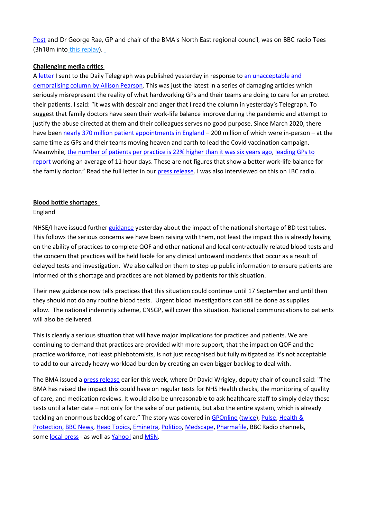[Post](https://www.yorkshirepost.co.uk/health/coronavirus/booster-vaccine-roll-out-date-still-uncertain-as-yorkshire-gps-and-care-providers-begin-preparations-3359875) and Dr George Rae, GP and chair of the BMA's North East regional council, was on BBC radio Tees (3h18m into [this replay\)](https://www.bbc.co.uk/sounds/play/p09r8x95).

### **Challenging media critics**

A [letter](https://www.telegraph.co.uk/opinion/2021/08/25/letters-gps-keeping-patients-arms-length-allows-unexamined-health/) I sent to the Daily Telegraph was published yesterday in response to an unacceptable and [demoralising column by Allison Pearson.](https://www.telegraph.co.uk/columnists/2021/08/24/gps-improving-work-life-balance-worsening-life-death-balance/) This was just the latest in a series of damaging articles which seriously misrepresent the reality of what hardworking GPs and their teams are doing to care for an protect their patients. I said: "It was with despair and anger that I read the column in yesterday's Telegraph. To suggest that family doctors have seen their work-life balance improve during the pandemic and attempt to justify the abuse directed at them and their colleagues serves no good purpose. Since March 2020, there have been [nearly 370 million patient appointments in England](https://app.powerbi.com/view?r=eyJrIjoiYzU2OTA2ODktZTIyNy00ODhmLTk1ZGEtOGVlZmRlZDNjYzY3IiwidCI6IjUwZjYwNzFmLWJiZmUtNDAxYS04ODAzLTY3Mzc0OGU2MjllMiIsImMiOjh9) – 200 million of which were in-person – at the same time as GPs and their teams moving heaven and earth to lead the Covid vaccination campaign. Meanwhile, [the number of patients per practice is 22% higher than it was six years ago,](https://www.bma.org.uk/media/4316/bma-medical-staffing-report-in-england-july-2021.pdf) [leading GPs to](https://www.pulsetoday.co.uk/news/workload/gps-working-average-11-hour-day-major-survey-reveals/)  [report](https://www.pulsetoday.co.uk/news/workload/gps-working-average-11-hour-day-major-survey-reveals/) working an average of 11-hour days. These are not figures that show a better work-life balance for the family doctor." Read the full letter in our [press release.](https://www.bma.org.uk/bma-media-centre/bma-letter-to-daily-telegraph-in-response-to-article-on-gp-appointments) I was also interviewed on this on LBC radio.

### **Blood bottle shortages**

### **England**

NHSE/I have issued furthe[r guidance](https://www.england.nhs.uk/wp-content/uploads/2021/08/B0933-bd-blood-collection-supply-disruption.pdf) yesterday about the impact of the national shortage of BD test tubes. This follows the serious concerns we have been raising with them, not least the impact this is already having on the ability of practices to complete QOF and other national and local contractually related blood tests and the concern that practices will be held liable for any clinical untoward incidents that occur as a result of delayed tests and investigation. We also called on them to step up public information to ensure patients are informed of this shortage and practices are not blamed by patients for this situation.

Their new guidance now tells practices that this situation could continue until 17 September and until then they should not do any routine blood tests. Urgent blood investigations can still be done as supplies allow. The national indemnity scheme, CNSGP, will cover this situation. National communications to patients will also be delivered.

This is clearly a serious situation that will have major implications for practices and patients. We are continuing to demand that practices are provided with more support, that the impact on QOF and the practice workforce, not least phlebotomists, is not just recognised but fully mitigated as it's not acceptable to add to our already heavy workload burden by creating an even bigger backlog to deal with.

The BMA issued [a press release](https://www.bma.org.uk/bma-media-centre/bma-responds-to-reported-blood-tube-shortages-in-england) earlier this week, where Dr David Wrigley, deputy chair of council said: "The BMA has raised the impact this could have on regular tests for NHS Health checks, the monitoring of quality of care, and medication reviews. It would also be unreasonable to ask healthcare staff to simply delay these tests until a later date – not only for the sake of our patients, but also the entire system, which is already tackling an enormous backlog of care." The story was covered in [GPOnline](https://www.gponline.com/gps-not-blame-delays-care-due-blood-test-tube-shortage-bma-warns/article/1725419) [\(twice\)](https://www.gponline.com/bma-seeks-qof-income-guarantee-due-blood-test-tube-shortage/article/1725442), [Pulse,](https://www.pulsetoday.co.uk/news/practice-personal-finance/bma-lobbying-nhse-for-qof-income-protection-during-blood-test-shortage/) [Health &](https://healthcareandprotection.com/bma-hits-out-at-testing-restrictions-due-to-blood-tube-shortage/)  [Protection,](https://healthcareandprotection.com/bma-hits-out-at-testing-restrictions-due-to-blood-tube-shortage/) [BBC News,](https://www.bbc.co.uk/news/business-58324108) [Head Topics,](https://headtopics.com/uk/nhs-stops-some-blood-tests-due-to-vial-shortages-21513616) [Eminetra,](https://eminetra.co.uk/we-must-avoid-compromising-patient-care-major-hospitals-warn-that-lack-of-blood-vessels-is-now-critical/665500/) [Politico,](https://www.politico.eu/article/uk-faces-supply-chains-crunch-caused-by-brexit-and-coronavirus/) [Medscape,](https://www.medscape.com/viewarticle/957270?src=) [Pharmafile,](http://www.pharmafile.com/news/586476/nhs-blood-tests-halted-due-vial-shortages) BBC Radio channels, some [local press](https://www.cornwalllive.com/news/cornwall-news/blood-tests-fertility-exams-cancer-5827180) - as well as [Yahoo!](https://www.yahoo.com/now/nhs-stops-blood-tests-due-230116584.html) and [MSN.](https://www.msn.com/en-gb/health/medical/nhs-doctors-told-stop-doing-blood-tests-because-of-serious-supply-chain-issues/ar-AANLfE9)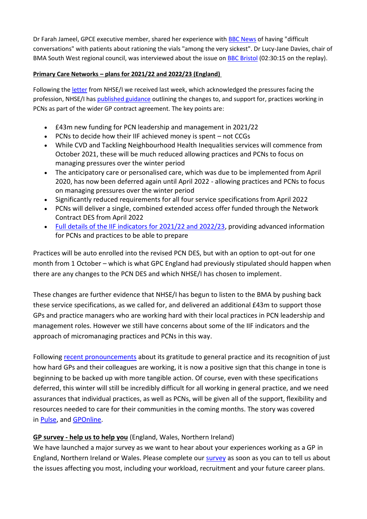Dr Farah Jameel, GPCE executive member, shared her experience with [BBC News](https://canvas.vuelio.co.uk/%5bINSERT%20CONTENT%5d) of having "difficult conversations" with patients about rationing the vials "among the very sickest". Dr Lucy-Jane Davies, chair of BMA South West regional council, was interviewed about the issue on [BBC Bristol](https://www.bbc.co.uk/sounds/play/p09r3hb7) (02:30:15 on the replay).

### **Primary Care Networks – plans for 2021/22 and 2022/23 (England)**

Following the [letter](https://i.emlfiles4.com/cmpdoc/3/7/7/5/2/files/820871_210818_id_rv_letter.pdf?utm_source=The%20British%20Medical%20Association&utm_medium=email&utm_campaign=12599278_GP%20ENEWSLETTER%20190821&dm_t=0,0,0,0,0) from NHSE/I we received last week, which acknowledged the pressures facing the profession, NHSE/I has [published guidance](https://www.england.nhs.uk/publication/primary-care-networks-plans-for-2021-22-and-2022-23/) outlining the changes to, and support for, practices working in PCNs as part of the wider GP contract agreement. The key points are:

- £43m new funding for PCN leadership and management in 2021/22
- PCNs to decide how their IIF achieved money is spent not CCGs
- While CVD and Tackling Neighbourhood Health Inequalities services will commence from October 2021, these will be much reduced allowing practices and PCNs to focus on managing pressures over the winter period
- The anticipatory care or personalised care, which was due to be implemented from April 2020, has now been deferred again until April 2022 - allowing practices and PCNs to focus on managing pressures over the winter period
- Significantly reduced requirements for all four service specifications from April 2022
- PCNs will deliver a single, combined extended access offer funded through the Network Contract DES from April 2022
- [Full details of the IIF indicators for 2021/22 and 2022/23,](https://www.england.nhs.uk/wp-content/uploads/2021/08/B0828-iii-annex-b-investment-and-impact-fund-21-22-and-22-23.pdf) providing advanced information for PCNs and practices to be able to prepare

Practices will be auto enrolled into the revised PCN DES, but with an option to opt-out for one month from 1 October – which is what GPC England had previously stipulated should happen when there are any changes to the PCN DES and which NHSE/I has chosen to implement.

These changes are further evidence that NHSE/I has begun to listen to the BMA by pushing back these service specifications, as we called for, and delivered an additional £43m to support those GPs and practice managers who are working hard with their local practices in PCN leadership and management roles. However we still have concerns about some of the IIF indicators and the approach of micromanaging practices and PCNs in this way.

Following [recent pronouncements](https://www.gponline.com/pcn-targets-deferred-nhs-admits-gps-working-harder-ever/article/1725186) about its gratitude to general practice and its recognition of just how hard GPs and their colleagues are working, it is now a positive sign that this change in tone is beginning to be backed up with more tangible action. Of course, even with these specifications deferred, this winter will still be incredibly difficult for all working in general practice, and we need assurances that individual practices, as well as PCNs, will be given all of the support, flexibility and resources needed to care for their communities in the coming months. The story was covered in [Pulse,](https://www.pulsetoday.co.uk/news/pulse-pcn/introduction-of-controversial-pcn-services-deferred-until-202223/) and [GPOnline.](https://www.gponline.com/nhs-england-confirms-pcn-services-deferred-announces-43m-additional-funding/article/1725559)

# **GP survey - help us to help you** (England, Wales, Northern Ireland)

We have launched a major survey as we want to hear about your experiences working as a GP in England, Northern Ireland or Wales. Please complete our [survey](https://www.surveymonkey.co.uk/r/BMA_GP_Survey) as soon as you can to tell us about the issues affecting you most, including your workload, recruitment and your future career plans.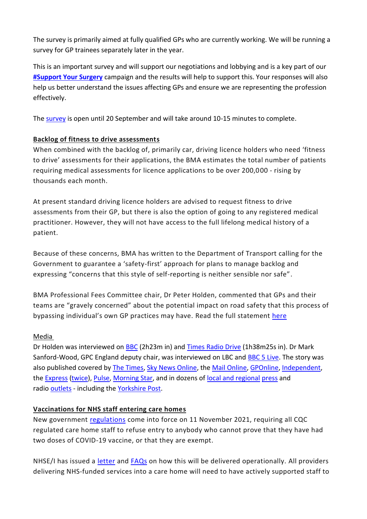The survey is primarily aimed at fully qualified GPs who are currently working. We will be running a survey for GP trainees separately later in the year.

This is an important survey and will support our negotiations and lobbying and is a key part of our **[#Support Your Surgery](https://e-activist.com/page/88027/petition/1?ea.tracking.id=website)** campaign and the results will help to support this. Your responses will also help us better understand the issues affecting GPs and ensure we are representing the profession effectively.

Th[e survey](https://www.surveymonkey.co.uk/r/BMA_GP_Survey) is open until 20 September and will take around 10-15 minutes to complete.

# **Backlog of fitness to drive assessments**

When combined with the backlog of, primarily car, driving licence holders who need 'fitness to drive' assessments for their applications, the BMA estimates the total number of patients requiring medical assessments for licence applications to be over 200,000 - rising by thousands each month.

At present standard driving licence holders are advised to request fitness to drive assessments from their GP, but there is also the option of going to any registered medical practitioner. However, they will not have access to the full lifelong medical history of a patient.

Because of these concerns, BMA has written to the Department of Transport calling for the Government to guarantee a 'safety-first' approach for plans to manage backlog and expressing "concerns that this style of self-reporting is neither sensible nor safe".

BMA Professional Fees Committee chair, Dr Peter Holden, commented that GPs and their teams are "gravely concerned" about the potential impact on road safety that this process of bypassing individual's own GP practices may have. Read the full statement [here](https://www.bma.org.uk/bma-media-centre/bma-says-tackling-the-huge-backlog-of-applications-for-driving-licence-medicals-must-not-be-at-the-expense-of-public-and-patient-safety)

# Media

Dr Holden was interviewed on [BBC](https://www.bbc.co.uk/sounds/play/p09r9l20) (2h23m in) and [Times Radio Drive](https://www.thetimes.co.uk/radio/show/20210823-4911/2021-08-23) (1h38m25s in). Dr Mark Sanford-Wood, GPC England deputy chair, was interviewed on LBC and [BBC 5 Live.](https://www.bbc.co.uk/sounds/play/p09rmsrd) The story was also published covered by [The Times,](https://www.thetimes.co.uk/article/doctors-notes-delay-200-000-driving-licence-renewals-bmq5hkjh7) [Sky News Online,](https://news.sky.com/story/warning-of-grave-impact-on-road-safety-amid-driving-licence-medical-backlog-12388591) the [Mail Online,](https://www.dailymail.co.uk/wires/pa/article-9918229/BMA-urges-safety-approach-tackling-driving-licence-medicals-backlog.html) [GPOnline,](https://www.gponline.com/bma-calls-change-rules-around-dvla-medical-checks/article/1725352) [Independent,](https://www.independent.co.uk/news/business/road-safety-motorist-loophole-bma-b1907394.html) the [Express](https://www.express.co.uk/life-style/cars/1480631/dvla-driving-licence-medical-check-backlog-bma-road-safety) [\(twice\)](https://www.express.co.uk/life-style/cars/1480965/driving-licence-renewal-application-uk-medical-conditions-check), [Pulse,](https://www.pulsetoday.co.uk/news/workload/allowing-patients-to-bypass-gp-for-fitness-to-drive-certificates-unsafe-says-bma/) [Morning Star,](https://www.morningstaronline.co.uk/article/b/doctors-warn%20of-grave-impact-on-road-safety-as-over-200000-motorists-wait-for-medicals) and in dozens of [local and regional](https://www.midsussextimes.co.uk/lifestyle/cars/doctors-safety-fears-as-licence-backlog-leaves-200000-drivers-waiting-for-medical-all-clear-3356021) [press](https://www.westsussextoday.co.uk/lifestyle/cars/doctors-safety-fears-as-licence-backlog-leaves-200000-drivers-waiting-for-medical-all-clear-3356021) and radio [outlets](https://www.thestar.co.uk/lifestyle/cars/doctors-safety-fears-as-licence-backlog-leaves-200000-drivers-waiting-for-medical-all-clear-3356021) - including the [Yorkshire Post.](https://www.yorkshirepost.co.uk/lifestyle/cars/doctors-safety-fears-as-licence-backlog-leaves-200000-drivers-waiting-for-medical-all-clear-3356021)

# **Vaccinations for NHS staff entering care homes**

New government [regulations](https://www.legislation.gov.uk/ukdsi/2021/9780348224993?view=plain) come into force on 11 November 2021, requiring all CQC regulated care home staff to refuse entry to anybody who cannot prove that they have had two doses of COVID-19 vaccine, or that they are exempt.

NHSE/I has issued a [letter](https://www.england.nhs.uk/coronavirus/publication/vaccinations-for-nhs-staff-entering-care-homes/) and [FAQs](https://www.england.nhs.uk/coronavirus/wp-content/uploads/sites/52/2021/08/C1372-FAQs-re-Vaccinations-for-NHS-staff-entering-care-homes_Aug21.pdf) on how this will be delivered operationally. All providers delivering NHS-funded services into a care home will need to have actively supported staff to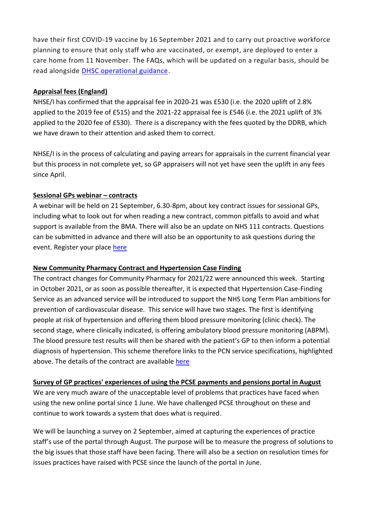have their first COVID-19 vaccine by 16 September 2021 and to carry out proactive workforce planning to ensure that only staff who are vaccinated, or exempt, are deployed to enter a care home from 11 November. The FAQs, which will be updated on a regular basis, should be read alongside [DHSC operational guidance.](http://tracking.vuelio.co.uk/tracking/click?d=io_4hkeJ-uYoAtAfjZox3lpGF1BHpLjB46qPuo4KwBXcb0ZkoocKb4wnNQLh3ccn7GsuZ_o_TkGi4_T60eTwECZxByjjYmQJ3V5AVvZChY_hNQp93BT5Pg-yXOy4B7gBn-PQACIQQXYp7clXuFqx8XiC2quWfoqRg-M9luMjicdAi2_ED2n1rwPEFqPjTYVe5iGTZIBVs3kVQFt3gm0rz-oPiHeNAqamZGaBihNzSew8BVK3S3KzkdVukU3oaYG6oA2)

## **Appraisal fees (England)**

NHSE/I has confirmed that the appraisal fee in 2020-21 was £530 (i.e. the 2020 uplift of 2.8% applied to the 2019 fee of £515) and the 2021-22 appraisal fee is £546 (i.e. the 2021 uplift of 3% applied to the 2020 fee of £530). There is a discrepancy with the fees quoted by the DDRB, which we have drawn to their attention and asked them to correct.

NHSE/I is in the process of calculating and paying arrears for appraisals in the current financial year but this process in not complete yet, so GP appraisers will not yet have seen the uplift in any fees since April.

## **Sessional GPs webinar – contracts**

A webinar will be held on 21 September, 6.30-8pm, about key contract issues for sessional GPs, including what to look out for when reading a new contract, common pitfalls to avoid and what support is available from the BMA. There will also be an update on NHS 111 contracts. Questions can be submitted in advance and there will also be an opportunity to ask questions during the event. Register your place [here](https://www.bma.org.uk/events/sessional-gp-contract-explainer)

# **New Community Pharmacy Contract and Hypertension Case Finding**

The contract changes for Community Pharmacy for 2021/22 were announced this week. Starting in October 2021, or as soon as possible thereafter, it is expected that Hypertension Case-Finding Service as an advanced service will be introduced to support the NHS Long Term Plan ambitions for prevention of cardiovascular disease. This service will have two stages. The first is identifying people at risk of hypertension and offering them blood pressure monitoring (clinic check). The second stage, where clinically indicated, is offering ambulatory blood pressure monitoring (ABPM). The blood pressure test results will then be shared with the patient's GP to then inform a potential diagnosis of hypertension. This scheme therefore links to the PCN service specifications, highlighted above. The details of the contract are available [here](https://www.gov.uk/government/publications/community-pharmacy-contractual-framework-2019-to-2024/community-pharmacy-contractual-framework-5-year-deal-year-3-2021-to-2022)

# **Survey of GP practices' experiences of using the PCSE payments and pensions portal in August**

We are very much aware of the unacceptable level of problems that practices have faced when using the new online portal since 1 June. We have challenged PCSE throughout on these and continue to work towards a system that does what is required.

We will be launching a survey on 2 September, aimed at capturing the experiences of practice staff's use of the portal through August. The purpose will be to measure the progress of solutions to the big issues that those staff have been facing. There will also be a section on resolution times for issues practices have raised with PCSE since the launch of the portal in June.